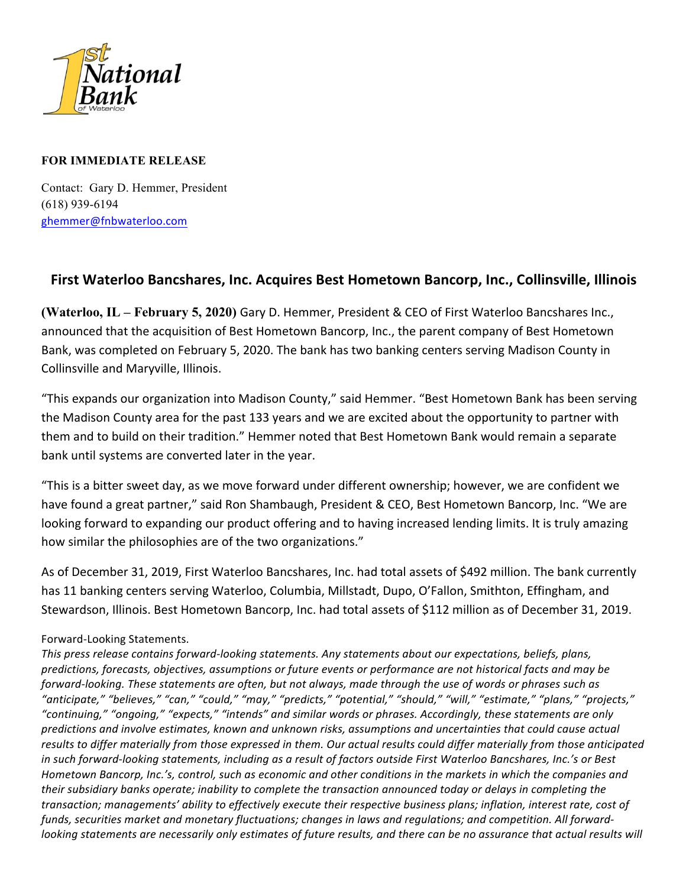

## **FOR IMMEDIATE RELEASE**

Contact: Gary D. Hemmer, President (618) 939-6194 ghemmer@fnbwaterloo.com

## **First Waterloo Bancshares, Inc. Acquires Best Hometown Bancorp, Inc., Collinsville, Illinois**

**(Waterloo, IL – February 5, 2020)** Gary D. Hemmer, President & CEO of First Waterloo Bancshares Inc., announced that the acquisition of Best Hometown Bancorp, Inc., the parent company of Best Hometown Bank, was completed on February 5, 2020. The bank has two banking centers serving Madison County in Collinsville and Maryville, Illinois.

"This expands our organization into Madison County," said Hemmer. "Best Hometown Bank has been serving the Madison County area for the past 133 years and we are excited about the opportunity to partner with them and to build on their tradition." Hemmer noted that Best Hometown Bank would remain a separate bank until systems are converted later in the year.

"This is a bitter sweet day, as we move forward under different ownership; however, we are confident we have found a great partner," said Ron Shambaugh, President & CEO, Best Hometown Bancorp, Inc. "We are looking forward to expanding our product offering and to having increased lending limits. It is truly amazing how similar the philosophies are of the two organizations."

As of December 31, 2019, First Waterloo Bancshares, Inc. had total assets of \$492 million. The bank currently has 11 banking centers serving Waterloo, Columbia, Millstadt, Dupo, O'Fallon, Smithton, Effingham, and Stewardson, Illinois. Best Hometown Bancorp, Inc. had total assets of \$112 million as of December 31, 2019.

## Forward-Looking Statements.

This press release contains forward-looking statements. Any statements about our expectations, beliefs, plans, predictions, forecasts, objectives, assumptions or future events or performance are not historical facts and may be *forward-looking.* These statements are often, but not always, made through the use of words or phrases such as *"anticipate," "believes," "can," "could," "may," "predicts," "potential," "should," "will," "estimate," "plans," "projects," "continuing," "ongoing," "expects," "intends" and similar words or phrases. Accordingly, these statements are only* predictions and involve estimates, known and unknown risks, assumptions and uncertainties that could cause actual results to differ materially from those expressed in them. Our actual results could differ materially from those anticipated in such forward-looking statements, including as a result of factors outside First Waterloo Bancshares, Inc.'s or Best *Hometown Bancorp, Inc.'s, control, such as economic and other conditions in the markets in which the companies and* their subsidiary banks operate; inability to complete the transaction announced today or delays in completing the transaction; managements' ability to effectively execute their respective business plans; inflation, interest rate, cost of funds, securities market and monetary fluctuations; changes in laws and regulations; and competition. All forward*looking* statements are necessarily only estimates of future results, and there can be no assurance that actual results will